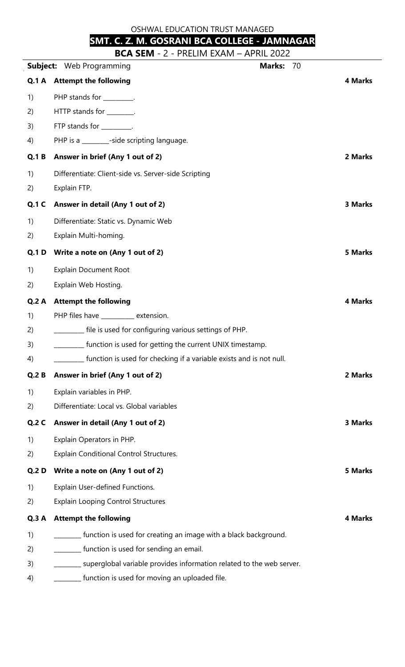OSHWAL EDUCATION TRUST MANAGED

## **SMT. C. Z. M. GOSRANI BCA COLLEGE - JAMNAGAR**

**BCA SEM** - 2 - PRELIM EXAM – APRIL 2022

|              | DCW JEINI<br>I INLLIIVI LAMIVI<br>AL INL LULL<br><b>Marks:</b><br>70<br><b>Subject:</b> Web Programming |                |
|--------------|---------------------------------------------------------------------------------------------------------|----------------|
| Q.1A         | <b>Attempt the following</b>                                                                            | <b>4 Marks</b> |
| 1)           | PHP stands for _________.                                                                               |                |
| 2)           | HTTP stands for ________.                                                                               |                |
| 3)           | FTP stands for _________.                                                                               |                |
| 4)           | PHP is a ________-side scripting language.                                                              |                |
| <b>Q.1 B</b> | Answer in brief (Any 1 out of 2)                                                                        | 2 Marks        |
| 1)           | Differentiate: Client-side vs. Server-side Scripting                                                    |                |
| 2)           | Explain FTP.                                                                                            |                |
| <b>Q.1 C</b> | Answer in detail (Any 1 out of 2)                                                                       | <b>3 Marks</b> |
| 1)           | Differentiate: Static vs. Dynamic Web                                                                   |                |
| 2)           | Explain Multi-homing.                                                                                   |                |
| <b>Q.1 D</b> | Write a note on (Any 1 out of 2)                                                                        | <b>5 Marks</b> |
| 1)           | <b>Explain Document Root</b>                                                                            |                |
| 2)           | Explain Web Hosting.                                                                                    |                |
| Q.2A         | <b>Attempt the following</b>                                                                            | <b>4 Marks</b> |
| 1)           | PHP files have _______ extension.                                                                       |                |
| 2)           | ________ file is used for configuring various settings of PHP.                                          |                |
| 3)           | function is used for getting the current UNIX timestamp.                                                |                |
| 4)           | function is used for checking if a variable exists and is not null.                                     |                |
| Q.2B         | Answer in brief (Any 1 out of 2)                                                                        | 2 Marks        |
| 1)           | Explain variables in PHP.                                                                               |                |
| 2)           | Differentiate: Local vs. Global variables                                                               |                |
| <b>Q.2 C</b> | Answer in detail (Any 1 out of 2)                                                                       | <b>3 Marks</b> |
| 1)           | Explain Operators in PHP.                                                                               |                |
| 2)           | <b>Explain Conditional Control Structures.</b>                                                          |                |
| <b>Q.2 D</b> | Write a note on (Any 1 out of 2)                                                                        | <b>5 Marks</b> |
| 1)           | Explain User-defined Functions.                                                                         |                |
| 2)           | <b>Explain Looping Control Structures</b>                                                               |                |
| Q.3A         | <b>Attempt the following</b>                                                                            | <b>4 Marks</b> |
| 1)           | function is used for creating an image with a black background.                                         |                |
| 2)           | _ function is used for sending an email.                                                                |                |
| 3)           | superglobal variable provides information related to the web server.                                    |                |

4) **Example 2** [unction is used for moving an uploaded file.